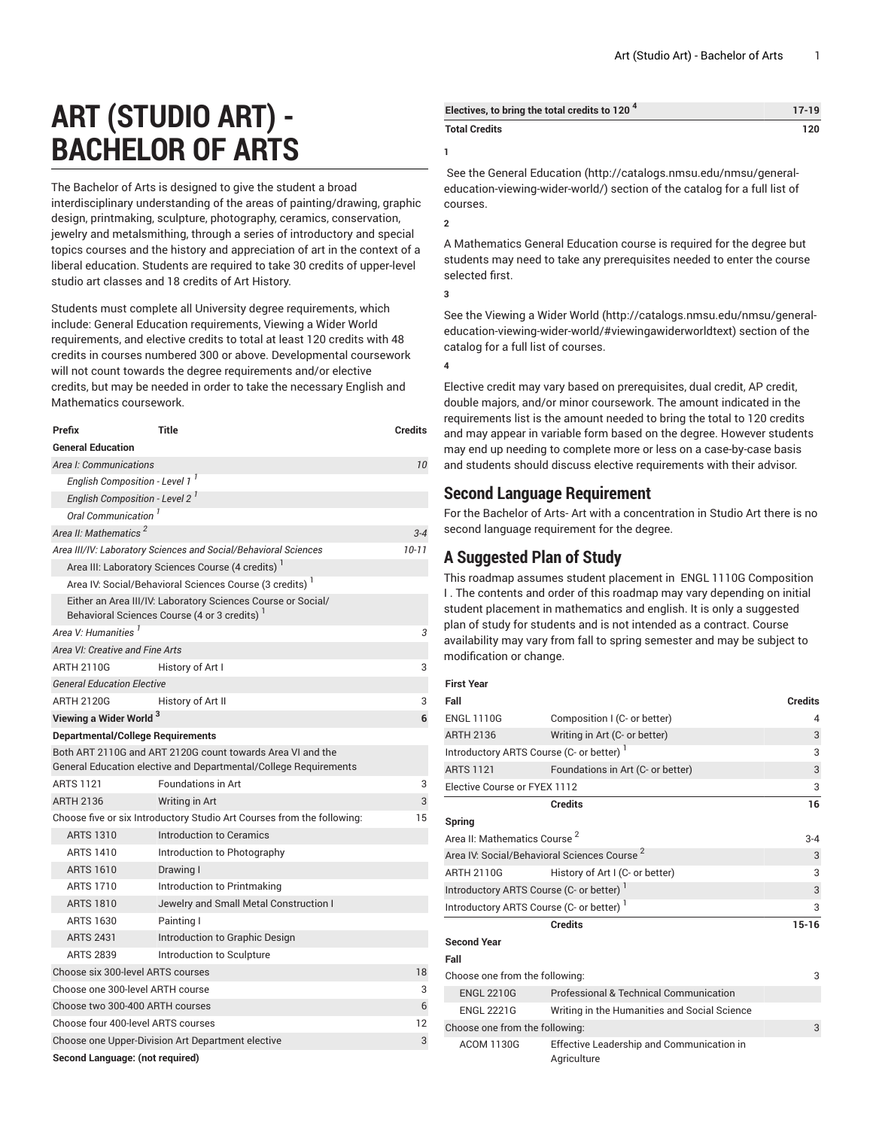# **ART (STUDIO ART) - BACHELOR OF ARTS**

The Bachelor of Arts is designed to give the student a broad interdisciplinary understanding of the areas of painting/drawing, graphic design, printmaking, sculpture, photography, ceramics, conservation, jewelry and metalsmithing, through a series of introductory and special topics courses and the history and appreciation of art in the context of a liberal education. Students are required to take 30 credits of upper-level studio art classes and 18 credits of Art History.

Students must complete all University degree requirements, which include: General Education requirements, Viewing a Wider World requirements, and elective credits to total at least 120 credits with 48 credits in courses numbered 300 or above. Developmental coursework will not count towards the degree requirements and/or elective credits, but may be needed in order to take the necessary English and Mathematics coursework.

| Prefix                                                                 | Title                                                                                                                          | <b>Credits</b> |  |  |
|------------------------------------------------------------------------|--------------------------------------------------------------------------------------------------------------------------------|----------------|--|--|
| <b>General Education</b>                                               |                                                                                                                                |                |  |  |
| Area I: Communications                                                 |                                                                                                                                | 10             |  |  |
| English Composition - Level 1 <sup>1</sup>                             |                                                                                                                                |                |  |  |
| English Composition - Level 2 <sup>1</sup>                             |                                                                                                                                |                |  |  |
| Oral Communication <sup>1</sup>                                        |                                                                                                                                |                |  |  |
| Area II: Mathematics <sup>2</sup>                                      |                                                                                                                                | $3 - 4$        |  |  |
| Area III/IV: Laboratory Sciences and Social/Behavioral Sciences        | $10 - 11$                                                                                                                      |                |  |  |
| Area III: Laboratory Sciences Course (4 credits) <sup>1</sup>          |                                                                                                                                |                |  |  |
| Area IV: Social/Behavioral Sciences Course (3 credits) <sup>1</sup>    |                                                                                                                                |                |  |  |
|                                                                        | Either an Area III/IV: Laboratory Sciences Course or Social/<br>Behavioral Sciences Course (4 or 3 credits) <sup>1</sup>       |                |  |  |
| Area V: Humanities <sup>I</sup>                                        |                                                                                                                                | 3              |  |  |
| Area VI: Creative and Fine Arts                                        |                                                                                                                                |                |  |  |
| <b>ARTH 2110G</b>                                                      | History of Art I                                                                                                               | 3              |  |  |
| <b>General Education Elective</b>                                      |                                                                                                                                |                |  |  |
| <b>ARTH 2120G</b>                                                      | History of Art II                                                                                                              | 3              |  |  |
| Viewing a Wider World <sup>3</sup>                                     |                                                                                                                                | 6              |  |  |
| <b>Departmental/College Requirements</b>                               |                                                                                                                                |                |  |  |
|                                                                        | Both ART 2110G and ART 2120G count towards Area VI and the<br>General Education elective and Departmental/College Requirements |                |  |  |
| <b>ARTS 1121</b>                                                       | <b>Foundations in Art</b>                                                                                                      | 3              |  |  |
| <b>ARTH 2136</b>                                                       | Writing in Art                                                                                                                 | 3              |  |  |
| Choose five or six Introductory Studio Art Courses from the following: | 15                                                                                                                             |                |  |  |
| <b>ARTS 1310</b>                                                       | Introduction to Ceramics                                                                                                       |                |  |  |
| <b>ARTS 1410</b>                                                       | Introduction to Photography                                                                                                    |                |  |  |
| <b>ARTS 1610</b>                                                       | Drawing I                                                                                                                      |                |  |  |
| <b>ARTS 1710</b>                                                       | Introduction to Printmaking                                                                                                    |                |  |  |
| <b>ARTS 1810</b>                                                       | Jewelry and Small Metal Construction I                                                                                         |                |  |  |
| <b>ARTS 1630</b>                                                       | Painting I                                                                                                                     |                |  |  |
| <b>ARTS 2431</b>                                                       | Introduction to Graphic Design                                                                                                 |                |  |  |
| <b>ARTS 2839</b>                                                       | Introduction to Sculpture                                                                                                      |                |  |  |
| Choose six 300-level ARTS courses                                      |                                                                                                                                | 18             |  |  |
| Choose one 300-level ARTH course                                       |                                                                                                                                |                |  |  |
| Choose two 300-400 ARTH courses                                        |                                                                                                                                |                |  |  |
| Choose four 400-level ARTS courses                                     |                                                                                                                                |                |  |  |
| Choose one Upper-Division Art Department elective                      |                                                                                                                                |                |  |  |
| Second Language: (not required)                                        |                                                                                                                                |                |  |  |

| Electives, to bring the total credits to 120 <sup>4</sup> | $17-19$ |
|-----------------------------------------------------------|---------|
| <b>Total Credits</b>                                      | 120     |

**1**

**2**

**3**

selected first.

 See the General [Education](http://catalogs.nmsu.edu/nmsu/general-education-viewing-wider-world/) ([http://catalogs.nmsu.edu/nmsu/general](http://catalogs.nmsu.edu/nmsu/general-education-viewing-wider-world/)[education-viewing-wider-world/\)](http://catalogs.nmsu.edu/nmsu/general-education-viewing-wider-world/) section of the catalog for a full list of courses.

A Mathematics General Education course is required for the degree but students may need to take any prerequisites needed to enter the course

See the [Viewing](http://catalogs.nmsu.edu/nmsu/general-education-viewing-wider-world/#viewingawiderworldtext) a Wider World [\(http://catalogs.nmsu.edu/nmsu/general](http://catalogs.nmsu.edu/nmsu/general-education-viewing-wider-world/#viewingawiderworldtext)[education-viewing-wider-world/#viewingawiderworldtext\)](http://catalogs.nmsu.edu/nmsu/general-education-viewing-wider-world/#viewingawiderworldtext) section of the catalog for a full list of courses.

**4**

Elective credit may vary based on prerequisites, dual credit, AP credit, double majors, and/or minor coursework. The amount indicated in the requirements list is the amount needed to bring the total to 120 credits and may appear in variable form based on the degree. However students may end up needing to complete more or less on a case-by-case basis and students should discuss elective requirements with their advisor.

### **Second Language Requirement**

For the Bachelor of Arts- Art with a concentration in Studio Art there is no second language requirement for the degree.

## **A Suggested Plan of Study**

This roadmap assumes student placement in ENGL 1110G Composition I . The contents and order of this roadmap may vary depending on initial student placement in mathematics and english. It is only a suggested plan of study for students and is not intended as a contract. Course availability may vary from fall to spring semester and may be subject to modification or change.

#### **First Year**

| Fall                                                    |                                                          | <b>Credits</b> |
|---------------------------------------------------------|----------------------------------------------------------|----------------|
| <b>ENGL 1110G</b>                                       | Composition I (C- or better)                             | 4              |
| <b>ARTH 2136</b>                                        | Writing in Art (C- or better)                            | 3              |
| Introductory ARTS Course (C- or better) <sup>1</sup>    |                                                          |                |
| <b>ARTS 1121</b>                                        | Foundations in Art (C- or better)                        | 3              |
| Elective Course or FYEX 1112                            |                                                          |                |
|                                                         | <b>Credits</b>                                           | 16             |
| Spring                                                  |                                                          |                |
| Area II: Mathematics Course <sup>2</sup>                |                                                          |                |
| Area IV: Social/Behavioral Sciences Course <sup>2</sup> |                                                          | 3              |
| <b>ARTH 2110G</b>                                       | History of Art I (C- or better)                          | 3              |
| Introductory ARTS Course (C- or better)                 |                                                          |                |
| Introductory ARTS Course (C- or better)                 |                                                          |                |
|                                                         | <b>Credits</b>                                           | $15 - 16$      |
| <b>Second Year</b>                                      |                                                          |                |
| Fall                                                    |                                                          |                |
| Choose one from the following:                          |                                                          |                |
| <b>ENGL 2210G</b>                                       | Professional & Technical Communication                   |                |
| <b>ENGL 2221G</b>                                       | Writing in the Humanities and Social Science             |                |
| Choose one from the following:                          |                                                          |                |
| <b>ACOM 1130G</b>                                       | Effective Leadership and Communication in<br>Agriculture |                |